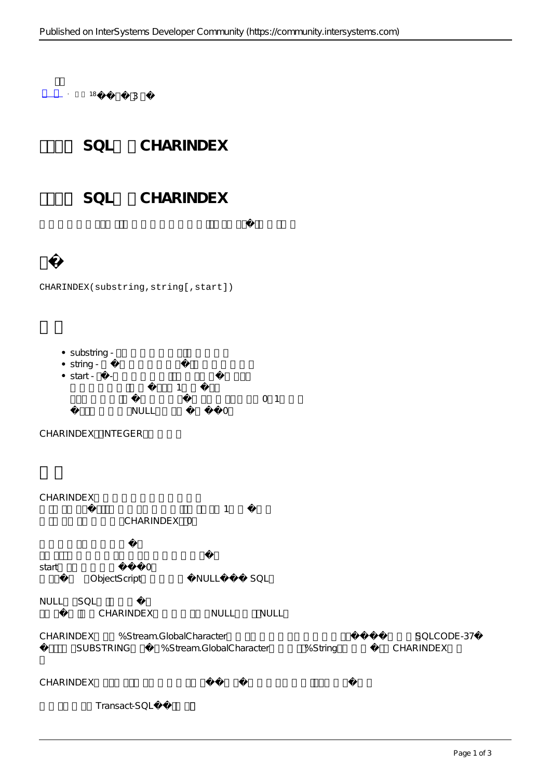$18$   $3$ 

## SOL CHARINDEX

SOL CHARINDEX

## CHARINDEX(substring,string[,start])

- substring -
- string -
- $\bullet$  start  $\bullet$ 
	- $\sim$  1  $\sim$  1  $\sim$  1
	- $\overline{0}$  1 NULL O
- CHARINDEX INTEGER
- CHARINDEX
- $1$ CHARINDEX 0
- start 0 ObjectScript NULL SQL
- NULL SQL
- CHARINDEX NULL NULL
- CHARINDEX %Stream.GlobalCharacter<br>  $\frac{1}{2}$ SUBSTRING %Stream.GlobalCharacter %String CHARINDEX

CHARINDEX

Transact-SQL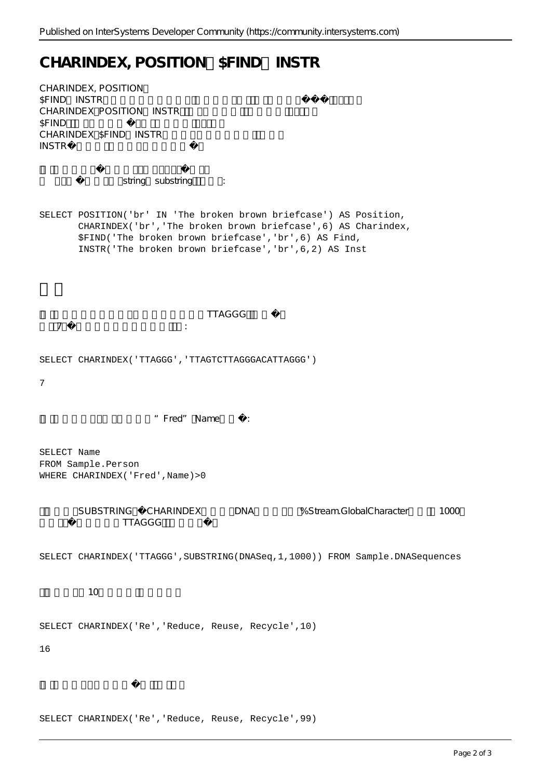## CHARINDEX, POSITION \$FIND INSTR

CHARINDEX, POSITION, \$FIND INSTR CHARINDEX POSITION INSTR \$FIND CHARINDEX \$FIND INSTR INSTR

string substring :

SELECT POSITION('br' IN 'The broken brown briefcase') AS Position, CHARINDEX('br','The broken brown briefcase',6) AS Charindex, \$FIND('The broken brown briefcase','br',6) AS Find, INSTR('The broken brown briefcase','br',6,2) AS Inst

**TTAGGG**  $\overline{7}$ 

SELECT CHARINDEX('TTAGGG', 'TTAGTCTTAGGGACATTAGGG')

7

"Fred" Name:

SELECT Name FROM Sample.Person WHERE CHARINDEX('Fred', Name) > 0

> SUBSTRING CHARINDEX DNA %Stream.GlobalCharacter 1000 字符,以查找子字符串TTAGGG的第一个匹配项:

SELECT CHARINDEX('TTAGGG',SUBSTRING(DNASeq,1,1000)) FROM Sample.DNASequences

 $\sim$  10

SELECT CHARINDEX('Re','Reduce, Reuse, Recycle',10)

16

SELECT CHARINDEX('Re','Reduce, Reuse, Recycle',99)